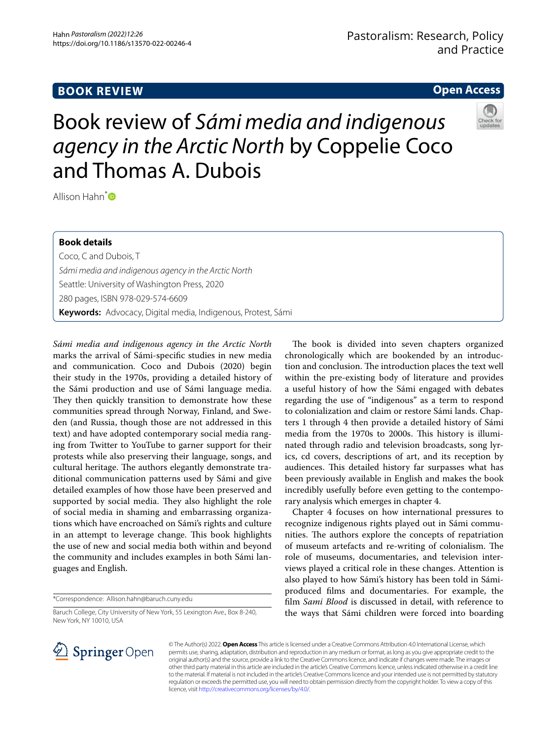# **BOOK REVIEW**

# **Open Access**

Book review of *Sámi media and indigenous agency in the Arctic North* by Coppelie Coco and Thomas A. Dubois

Allison Hahn<sup>\*</sup>

## **Book details**

Coco, C and Dubois, T *Sámi media and indigenous agency in the Arctic North* Seattle: University of Washington Press, 2020 280 pages, ISBN 978-029-574-6609 **Keywords:** Advocacy, Digital media, Indigenous, Protest, Sámi

*Sámi media and indigenous agency in the Arctic North* marks the arrival of Sámi-specifc studies in new media and communication. Coco and Dubois (2020) begin their study in the 1970s, providing a detailed history of the Sámi production and use of Sámi language media. They then quickly transition to demonstrate how these communities spread through Norway, Finland, and Sweden (and Russia, though those are not addressed in this text) and have adopted contemporary social media ranging from Twitter to YouTube to garner support for their protests while also preserving their language, songs, and cultural heritage. The authors elegantly demonstrate traditional communication patterns used by Sámi and give detailed examples of how those have been preserved and supported by social media. They also highlight the role of social media in shaming and embarrassing organizations which have encroached on Sámi's rights and culture in an attempt to leverage change. This book highlights the use of new and social media both within and beyond the community and includes examples in both Sámi languages and English.

\*Correspondence: Allison.hahn@baruch.cuny.edu

Baruch College, City University of New York, 55 Lexington Ave., Box 8-240, New York, NY 10010, USA

The book is divided into seven chapters organized chronologically which are bookended by an introduction and conclusion. The introduction places the text well within the pre-existing body of literature and provides a useful history of how the Sámi engaged with debates regarding the use of "indigenous" as a term to respond to colonialization and claim or restore Sámi lands. Chapters 1 through 4 then provide a detailed history of Sámi media from the 1970s to 2000s. This history is illuminated through radio and television broadcasts, song lyrics, cd covers, descriptions of art, and its reception by audiences. This detailed history far surpasses what has been previously available in English and makes the book incredibly usefully before even getting to the contemporary analysis which emerges in chapter 4.

Chapter 4 focuses on how international pressures to recognize indigenous rights played out in Sámi communities. The authors explore the concepts of repatriation of museum artefacts and re-writing of colonialism. The role of museums, documentaries, and television interviews played a critical role in these changes. Attention is also played to how Sámi's history has been told in Sámiproduced flms and documentaries. For example, the flm *Sami Blood* is discussed in detail, with reference to the ways that Sámi children were forced into boarding



© The Author(s) 2022. **Open Access** This article is licensed under a Creative Commons Attribution 4.0 International License, which permits use, sharing, adaptation, distribution and reproduction in any medium or format, as long as you give appropriate credit to the original author(s) and the source, provide a link to the Creative Commons licence, and indicate if changes were made. The images or other third party material in this article are included in the article's Creative Commons licence, unless indicated otherwise in a credit line to the material. If material is not included in the article's Creative Commons licence and your intended use is not permitted by statutory regulation or exceeds the permitted use, you will need to obtain permission directly from the copyright holder. To view a copy of this licence, visit [http://creativecommons.org/licenses/by/4.0/.](http://creativecommons.org/licenses/by/4.0/)